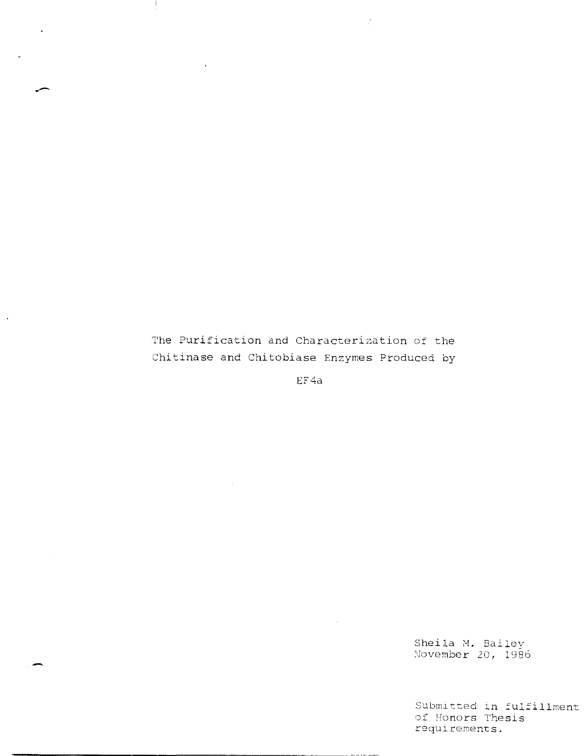The Purification and Characterization of the Chitinase and Chitobiase Enzymes Produced by

 $\ddot{\phantom{a}}$ 

 $\hat{\vec{z}}$ 

EF4a

Sheila M. Bailey November 20, 1986

Submitted in fulfillment **of 5-fonors Thesis requirements.**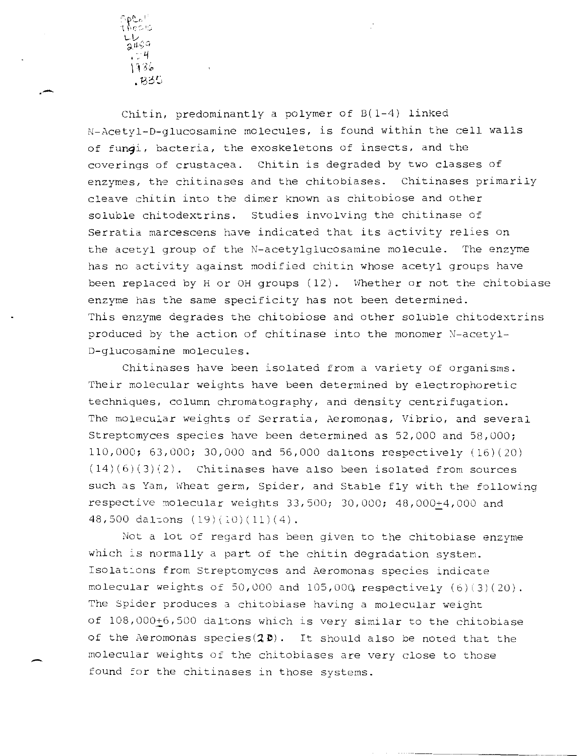รันั\$≎ - 4 1986  $.83J$ 

**.-**

Chitin, predominantly a polymer of B(1-4) linked N-Acetyl-D-glucosamine molecules, is found within the cell walls of fundi, bacteria, the exoskeletons of insects, and the coverings of crustacea. Chitin is degraded by two classes of enzymes, the chitinases and the chitobiases. Chitinases primarily cleave chitin into the dimer known as chitobiose and other soluble chitodextrins. Studies involving the chitinase of serratia marcescens have indicated that its activity relies on the acetyl group of the N-acetylglucosamine molecule. The enzyme has no activity against modified chitin whose acetyl groups have been replaced by H or OH groups  $(12)$ . Whether or not the chitobiase enzyme has the same specificity has not been determined. This enzyme degrades the chitobiose and other soluble chitodextrins produced by the action of chitinase into the monomer  $N$ -acetyl-D-glucosamine molecules.

Chitinases have been isolated from a variety of organisms. Their molecular weights have been determined by electrophoretic techniques, column chromatography, and density centrifugation. The molecular weights of Serratia, Aeromonas, Vibrio, and several Streptomyces species have been determined as 52,000 and 58,000; 110,000; 63,000; 30,000 and 56,000 daltons respectively (16)(20)  $(14)(6)(3)(2)$ . Chitinases have also been isolated from sources such as Yam, Wheat germ, Spider, and Stable fly with the following respective molecular weights  $33,500; 30,000; 48,000+4,000$  and 48,500 daltons  $(19)(10)(11)(4)$ .

Not a lot of regard has been given to the chitobiase enzyme which is normally a part of the chitin degradation system. Isolations from Streptomyces and Aeromonas species indicate molecular weights of 50,000 and 105,000, respectively (5) (3)(20). The Spider produces a chitobiase having a molecular weight of  $108,000+6,500$  daltons which is very similar to the chitobiase of the Aeromonas species( $2D$ ). It should also be noted that the molecular weights of the chitobiases are very close to those found for the chitinases in those systems.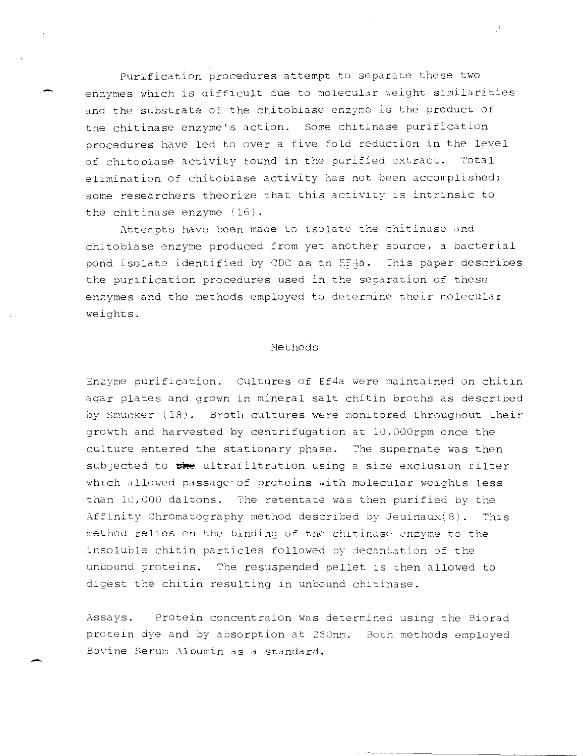Purification procedures attempt to separate these two enzymes which is difficult due to molecular weight similarities and the substrate of the chitobiase enzyme is the product of the chitinase enzyme's action. Some chitinase purification procedures have led to over a five fold reduction in the level of chitobiase activity found in the purified extract. Total elimination of chitobiase activity has not been accomplished; some researchers theorize that this activity is intrinsic to the chitinase enzyme (16).

Attempts have been made to isolate the chitinase and chitobiase enzyme produced from yet another source, a bacterial pond isolate identified by CDC as an EF4a. This paper describes the purification procedures used in the separation of these enzymes and the methods employed to determine their molecular weights.

#### Methods

Enzyme purification. Cultures of Ef4a were maintained on chitin agar plates and grown in mineral salt chitin broths as described by Smucker (18). Broth cultures were monitored throughout their growth and harvested by centrifugation at 10,000rpm once the culture entered the stationary phase. The supernate was then subjected to the ultrafiltration using a size exclusion filter which allowed passage of proteins with molecular weights less than 10,000 daltons. The retentate was then purified by the Affinity Chromatography method described by Jeuinaux (8). This method relies on the binding of the chitinase enzyme to the insoluble chitin particles followed by decantation of the unbound proteins. The resuspended pellet is then allowed to digest the chitin resulting in unbound chitinase.

Protein concentraion was determined using the Biorad Assays. protein dye and by absorption at 280nm. Both methods employed Bovine Serum Albumin as a standard.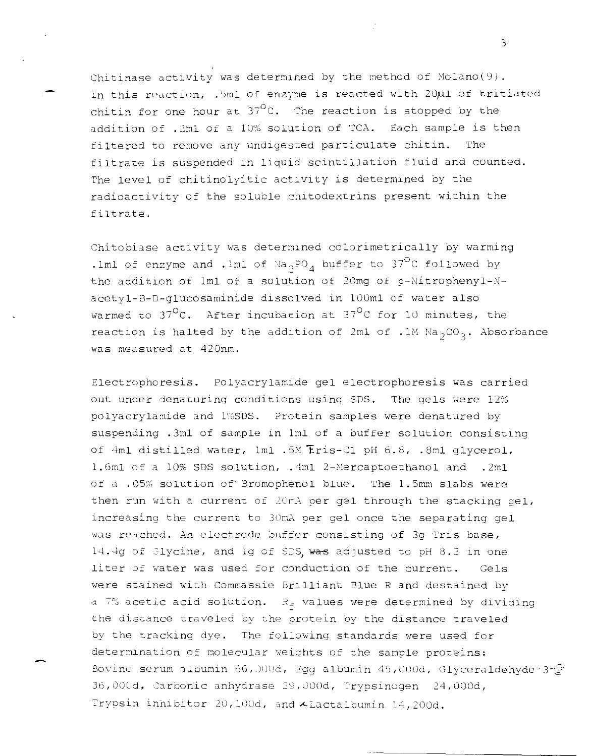Chitinase activity was determined by the method of  $Mod(9)$ . In this reaction, .5ml of enzyme is reacted with 20 $\mu$ 1 of tritiated chitin for one hour at  $37^{\sf O}$ C. The reaction is stopped by the addition of .2ml of a 10% solution of TCA. Each sample is then filtered to remove any undigested particulate chitin. The filtrate is suspended in liquid scintillation fluid and counted. The level of chitinolyitic activity is determined by the radioactivity of the soluble chitodextrins present within the filtrate.

Chitobiase activity was determined colorimetrically by warming .1ml of enzyme and .1ml of  $\text{Na}_{2}\text{PO}_{4}$  buffer to 37°C followed by the addition of 1ml of a solution of 20mg of p-Nitrophenyl-Nacetyl-B-D-glucosaminide dissolved in 100ml of water also warmed to  $37^{\circ}$ C. After incubation at  $37^{\circ}$ C for 10 minutes, the reaction is halted by the addition of 2ml of .1M  $Na_2CO_3$ . Absorbance was measured at 420nm.

Electropho resis. Polyacrylamide gel electrophoresis was carried out under denaturing conditions using SDS. The gels were 12% polyacrylamide and l%SDS. Protein samples were denatured by suspending .3ml of sample in Iml of a buffer solution consisting of 4ml distilled water, 1ml .5M Fris-Cl pH 6.8, .8ml glycerol, 1.6ml of a 10% SDS solution, .4ml 2-Mercaptoethanol and .2ml of a .05% solution of Bromophenol blue. The 1.5mm slabs were then run with a current of 20mA per gel through the stacking gel, increasing the current to 30mA per gel once the separating gel was reached. An electrode buffer consisting of 3g Tris base, 14.4g of Glycine, and 1g of SDS, was adjusted to pH 8.3 in one liter of water was used for conduction of the current. Gels were stained with Commassie Brilliant Blue R and destained by a 7% acetic acid solution.  $R_f$  values were determined by dividing the distance traveled by the protein by the distance traveled by the tracking dye. The following standards were used for determination of molecular weights of the sample proteins: Bovine serum albumin 66, JOOd, Egg albumin 45,000d, Glyceraldehyde-3- $\widehat{\mathcal{P}}$ ' 36,000d, Carbonic anhydrase 29,000d, Trypsinogen 24,000d, Trypsin inhibitor 20,100d, and  $\lambda$ Lactalbumin 14,200d.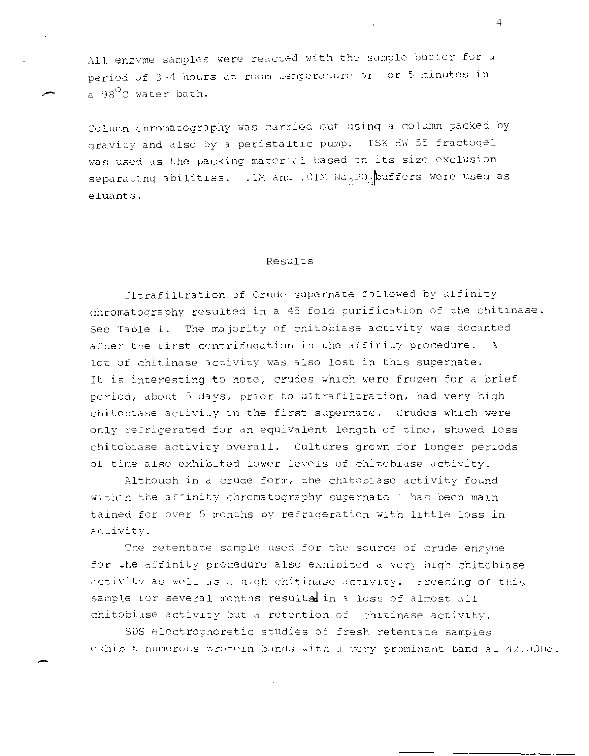All enzyme samples were reacted with the sample buffer for a period of 3-4 hours at room temperature or for 5 minutes in  $a \theta$ <sup>O</sup>C water bath.

Column chromatography was carried out using a column packed by gravity and also by a peristaltic pump. TSK HW 55 fractogel **was used as the packing material based on its size exclusion**  separating abilities. .1M and .01M  $Na_2PO_A$ buffers were used as eluants.

#### Results

Ultrafiltration of Crude supernate followed by affinity chromatography resulted in a 45 fold purification of the chitinase. See Table 1. The majority of chitobiase activity was decanted after the first centrifugation in the affinity procedure.  $A$ lot of chitinase activity was also lost in this supernate. It is interesting to note, crudes which were frozen for a brief period. about 5 days. prior to ultrafiltration. had very high chitobiase activity in the first supernate. Crudes which vere only refrigerated for an equivalent length of time, showed less chitobiase activity overall. Cultures grovn for longer periods of time also exhibited lover levels of chitobiase activity.

Although in a crude form, the chitobiase activity found **within the affinity chromatography supernate 1 has been main**tained for over 5 months by refrigeration with little loss in activity.

The retentate sample used for the source of crude enzyme for the affinity procedure also exhibited a very high chitobiase activity as well as a high chitinase activity. Freezing of this sample for several months resulted in a loss of almost all chitobiase activity but a retention of chitinase activity.

SDS electrophoretic studies of fresh retentate samples exhibit numerous protein bands with a very prominant band at 42,000d.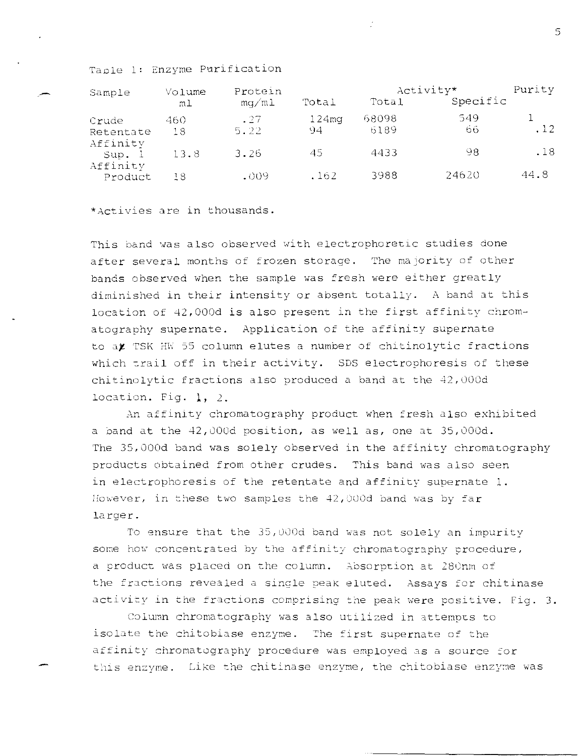Taple 1: Enzyme Purification

| Sample              | Volume    | Protein<br>mq/m1 |                         | Activity*     |           | Purity |
|---------------------|-----------|------------------|-------------------------|---------------|-----------|--------|
|                     | m1        |                  | Total                   | Total         | Specific  |        |
| Crude<br>Retentate  | 460<br>18 | .27<br>5.22      | 124 <sub>mq</sub><br>94 | 68098<br>6189 | 549<br>66 | .12    |
| Affinity<br>Sup. l  | 13.8      | 3.26             | 45                      | 4433          | 98        | .18    |
| Affinity<br>Product | 18        | $-009$           | .162                    | 3988          | 24620     | 44.8   |

\*Activies are in thousands.

This band was also observed with electrophoretic studies done after several months of frozen storage. The majority of other bands observed when the sample was fresh were either greatly diminished in their intensity or absent totally. A band at this location of 42,000d is also present in the first affinity chromatography supernate. Application of the affinity supernate to at TSK HW 55 column elutes a number of chitinolytic fractions which trail off in their activity. SDS electrophoresis of these chitinolytic fractions also produced a band at the 42,000d location. Fig. 1, 2.

An affinity chromatography product when fresh also exhibited a band at the 42,000d position, as well as, one at 35,000d. The 35,000d band was solely observed in the affinity chromatography products obtained from other crudes. This band was also seen in electrophoresis of the retentate and affinity supernate 1. However, in these two samples the 42,000d band was by far larger.

To ensure that the 35,000d band was not solely an impurity some how concentrated by the affinity chromatography procedure, a product was placed on the column. Absorption at 280nm of the fractions revealed a single peak eluted. Assays for chitinase activity in the fractions comprising the peak were positive. Fig. 3.

Column chromatography was also utilized in attempts to isolate the chitobiase enzyme. The first supernate of the affinity chromatography procedure was employed as a source for this enzyme. Like the chitinase enzyme, the chitobiase enzyme was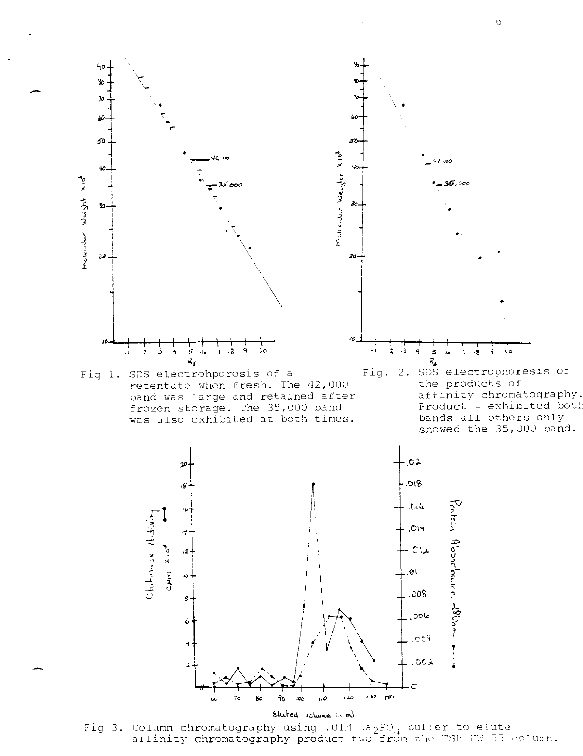



 $.008$ 

,oole

affinity chromatography product two from the TSK HW 55 column.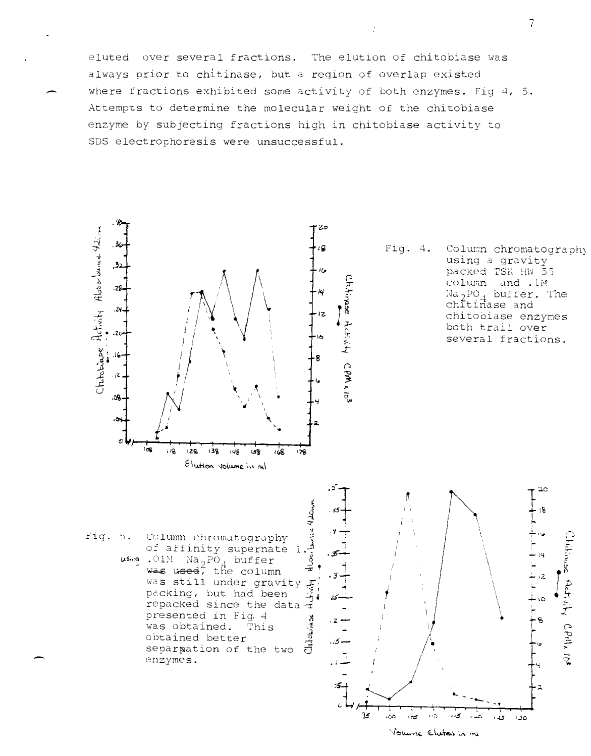eluted over several fractions. The elution of chitobiase was always prior to chitinase, but a region of overlap existed where fractions exhibited some activity of both enzymes. Fig 4, 5. Attempts to determine the molecular weight of the chitobiase enzyme by subjecting fractions high in chitobiase activity to SDS electrophoresis were unsuccessful.



95

i80

۱D.

 $\pm 0$ 

Volume Elected in me

 $\cdot$  5

نائبان

ى د

ەد

Column chromatograph using a gravity packed TSK HW 55 column and .1M  $Na_2PO_A$  buffer. The chitinase and chitopiase enzymes both trail over several fractions.

 $2<sub>c</sub>$ 

 $\mathcal{B}$ 

 $\overline{14}$ 

Adrishy CPM<sub>k</sub> 10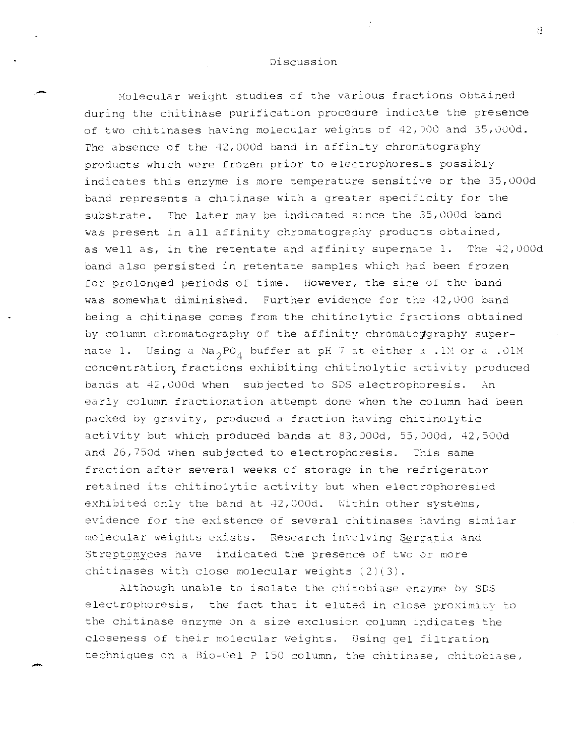## Discussion

Molecular weight studies of the various fractions obtained during the chitinase purification procedure indicate the presence of two chitinases having molecular weights of  $42,$  000 and 35,000d. The absence of the 42,000d band in affinity chromatography products which were frozen prior to electrophoresis possibly indicates this enzyme is more temperature sensitive or the 35,000d band represents a chitinase with a greater specificity for the substrate. The later may be indicated since the 35,000d band was present in all affinity chromatography products obtained, as well as, in the retentate and affinity supernate 1. The  $42,000d$ band also persisted in retentate samples which had been frozen for prolonged periods of time. However, the size of the band was somewhat diminished. Further evidence for the 42,000 band being a chitinase comes from the chitinolytic fractions obtained by column chromatography of the affinity chromatoggraphy supernate 1. Using a  $\text{Na}_{2}$ PO<sub>4</sub> buffer at pH 7 at either a .1M or a .01M concentration fractions exhibiting chitinolytic activity produced bands at 42,000d when subjected to SDS electrophoresis. An early column fractionation attempt done when the column had been packed by gravity, produced a fraction having chitinolytic activity but which produced bands at 83,000d, 55,000d, 42,500d and  $26,750d$  when subjected to electrophoresis. This same fraction after several weeks of storage in the refrigerator retained its chitinolytic activity but when electrophoresied exhibited only the band at 42,000d. Within other systems, evidence for the existence of several chitinases having similar molecular weights exists. Research involving Serratia and Streptomyces have indicated the presence of two or more chitinases with close molecular weights  $(2)(3)$ .

Although unable to isolate the chitobiase enzyme by SDS electrophoresis, the fact that it eluted in close proximity to the chitinase enzyme on a size exclusion column indicates the closeness of their molecular weights. Using gel filtration techniques on a Bio-Gel P 150 column, the chitinase, chitobiase,

-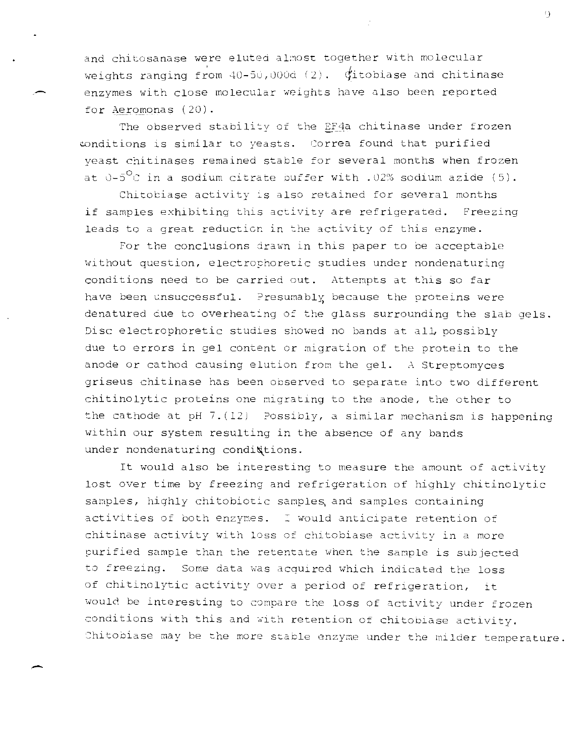and chitosanase were eluted almost together with molecular weights ranging from  $40-50$ , 000d (2).  $\oint$ itobiase and chitinase enzymes with close molecular weights have also been reported for Aeromonas (20).

The observed stability of the EF4a chitinase under frozen conditions is similar to yeasts. Correa found that purified veast chitinases remained stable for several months when frozen at  $0-5^{\circ}$ C in a sodium citrate buffer with .02% sodium azide (5).

Chitobiase activity is also retained for several months if samples exhibiting this activity are refrigerated. Freezing leads to a great reduction in the activity of this enzyme.

For the conclusions drawn in this paper to be acceptable without question, electrophoretic studies under nondenaturing conditions need to be carried out. Attempts at this so far have been unsuccessful. Presumably because the proteins were denatured due to overheating of the glass surrounding the slab gels. Disc electrophoretic studies showed no bands at all possibly due to errors in gel content or migration of the protein to the anode or cathod causing elution from the gel. A Streptomyces griseus chitinase has been observed to separate into two different chitinolytic proteins one migrating to the anode, the other to the cathode at pH 7. (12) Possibly, a similar mechanism is happening within our system resulting in the absence of any bands under nondenaturing condidtions.

It would also be interesting to measure the amount of activity lost over time by freezing and refrigeration of highly chitinolytic samples, highly chitobiotic samples and samples containing activities of both enzymes. I would anticipate retention of chitinase activity with loss of chitobiase activity in a more purified sample than the retentate when the sample is subjected to freezing. Some data was acquired which indicated the loss of chitinolytic activity over a period of refrigeration, it would be interesting to compare the loss of activity under frozen conditions with this and with retention of chitobiase activity. Chitobiase may be the more stable enzyme under the milder temperature.

 $^{\circ}$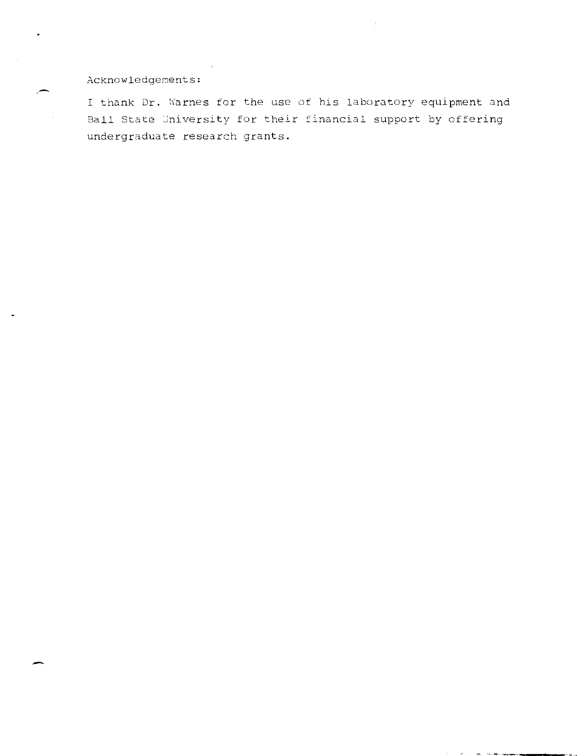# Acknowledgements:

I thank Dr. Warnes for the use of his laboratory equipment and Ball State University for their financial support by offering undergraduate research grants.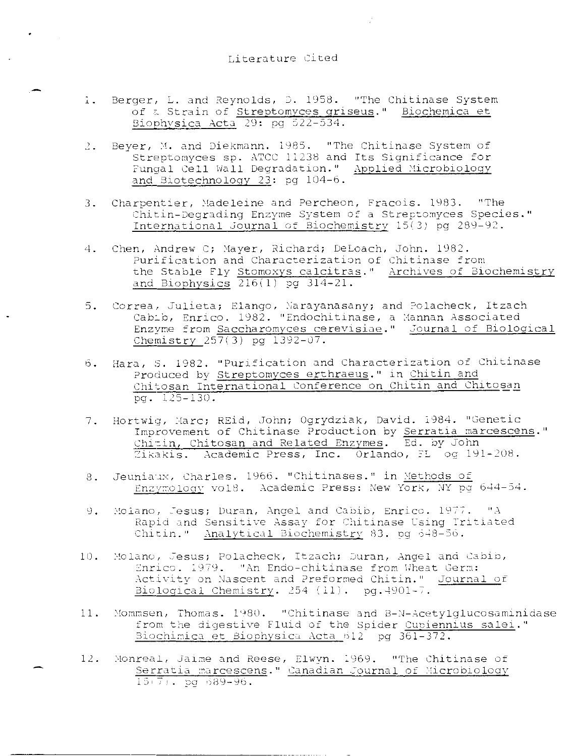## Literature Cited

 $\bullet$  .  $\bullet$  .

- Berger, L. and Reynolds, D. 1958. "The Chitinase System  $\mathbf{1}$ . of a Strain of Streptomyces griseus." Biochemica et Biophysica Acta  $29:$  pg  $522-534.$
- 2. Beyer, M. and Diekmann. 1985. "The Chitinase System of<br>Streptomyces sp. ATCC 11238 and Its Significance for Fungal Cell Wall Degradation." Applied Microbiology and Biotechnology 23: pg 104-6.
- Charpentier, Madeleine and Percheon, Fracois. 1983. "The  $\overline{3}$ . Chitin-Degrading Enzyme System of a Streptomyces Species." International Journal of Biochemistry 15(3) pq 289-92.
- Chen, Andrew C; Mayer, Richard; DeLoach, John. 1982. 4. Purification and Characterization of Chitinase from the Stable Fly Stomoxys calcitras." Archives of Biochemistry and Biophysics  $216(1)$  pg  $314-21$ .
- 5. Correa, Julieta; Elango, Narayanasany; and Polacheck, Itzach Cabib, Enrico. 1982. "Endochitinase, a Mannan Associated Enzvme from Saccharomyces cerevisiae." Journal of Biological Chemistry  $257(3)$  pg  $1392 - 07$ .
- Hara, S. 1982. "Purification and Characterization of Chitinase  $6.$ Produced by Streptomyces erthraeus." in Chitin and Chitosan International Conference on Chitin and Chitosan  $pq. 125-130.$
- 7. Hortwig, Marc; REid, John; Ogrydziak, David. 1984. "Genetic Improvement of Chitinase Production by Serratia marcescens." Chitin, Chitosan and Related Enzymes. Ed. by John Zikakis. Academic Press, Inc. Orlando, FL og 191-208.
- Jeuniaux, Charles. 1966. "Chitinases." in Methods of  $8 -$ Enzymology vol8. Academic Press: New York, NY pg 644-54.
- $\Theta$ Molano, Jesus; Duran, Angel and Cabib, Enrico. 1977. "A Rapid and Sensitive Assay for Chitinase Using Tritiated Chitin." Analytical Biochemistry 83. og 648-56.
- Molano, Jesus; Polacheck, Itzach; Duran, Angel and Cabib,  $10.$ Enrico. 1979. "An Endo-chitinase from Wheat Germ: Activity on Nascent and Preformed Chitin." Journal of Biological Chemistry. 254 (11). pg. 4901-7.
- $11.$ Mommsen, Thomas. 1980. "Chitinase and B-N-Acetylglucosaminidase from the digestive Fluid of the Spider Cupiennius salei." Biochimica et Biophysica Acta 612 pq 361-372.
- Monreal, Jaime and Reese, Elwyn. 1969. "The Chitinase of  $12.$ Serratia marcescens." Canadian Journal of Microbiology  $15(7)$ . pd  $689-96$ .